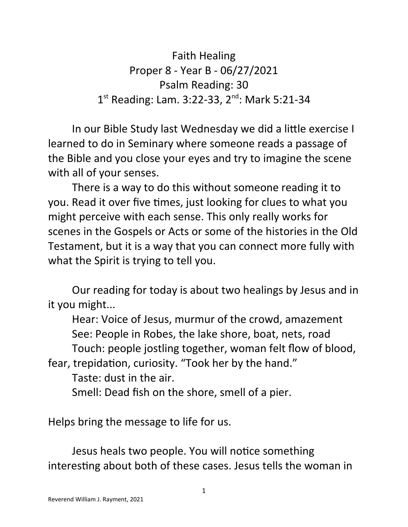Faith Healing Proper 8 - Year B - 06/27/2021 Psalm Reading: 30 1<sup>st</sup> Reading: Lam. 3:22-33, 2<sup>nd</sup>: Mark 5:21-34

In our Bible Study last Wednesday we did a little exercise I learned to do in Seminary where someone reads a passage of the Bible and you close your eyes and try to imagine the scene with all of your senses.

There is a way to do this without someone reading it to you. Read it over five times, just looking for clues to what you might perceive with each sense. This only really works for scenes in the Gospels or Acts or some of the histories in the Old Testament, but it is a way that you can connect more fully with what the Spirit is trying to tell you.

Our reading for today is about two healings by Jesus and in it you might...

Hear: Voice of Jesus, murmur of the crowd, amazement See: People in Robes, the lake shore, boat, nets, road Touch: people jostling together, woman felt flow of blood,

fear, trepidation, curiosity. "Took her by the hand."

Taste: dust in the air.

Smell: Dead fish on the shore, smell of a pier.

Helps bring the message to life for us.

Jesus heals two people. You will notice something interesting about both of these cases. Jesus tells the woman in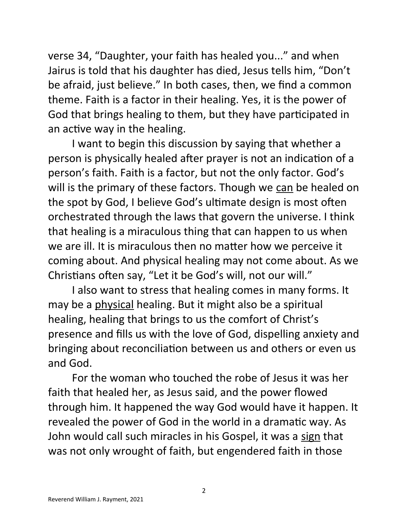verse 34, "Daughter, your faith has healed you..." and when Jairus is told that his daughter has died, Jesus tells him, "Don't be afraid, just believe." In both cases, then, we find a common theme. Faith is a factor in their healing. Yes, it is the power of God that brings healing to them, but they have participated in an active way in the healing.

I want to begin this discussion by saying that whether a person is physically healed after prayer is not an indication of a person's faith. Faith is a factor, but not the only factor. God's will is the primary of these factors. Though we can be healed on the spot by God, I believe God's ultimate design is most often orchestrated through the laws that govern the universe. I think that healing is a miraculous thing that can happen to us when we are ill. It is miraculous then no matter how we perceive it coming about. And physical healing may not come about. As we Christians often say, "Let it be God's will, not our will."

I also want to stress that healing comes in many forms. It may be a physical healing. But it might also be a spiritual healing, healing that brings to us the comfort of Christ's presence and fills us with the love of God, dispelling anxiety and bringing about reconciliation between us and others or even us and God.

For the woman who touched the robe of Jesus it was her faith that healed her, as Jesus said, and the power flowed through him. It happened the way God would have it happen. It revealed the power of God in the world in a dramatic way. As John would call such miracles in his Gospel, it was a sign that was not only wrought of faith, but engendered faith in those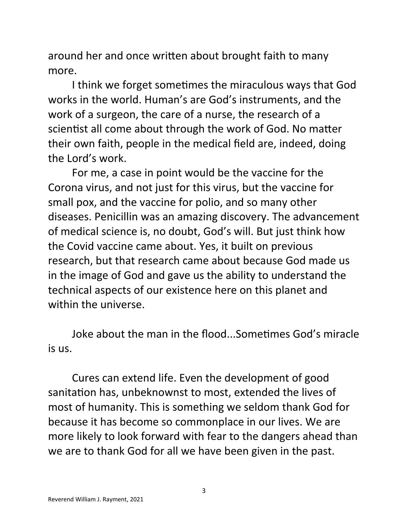around her and once written about brought faith to many more.

I think we forget sometimes the miraculous ways that God works in the world. Human's are God's instruments, and the work of a surgeon, the care of a nurse, the research of a scientist all come about through the work of God. No matter their own faith, people in the medical field are, indeed, doing the Lord's work.

For me, a case in point would be the vaccine for the Corona virus, and not just for this virus, but the vaccine for small pox, and the vaccine for polio, and so many other diseases. Penicillin was an amazing discovery. The advancement of medical science is, no doubt, God's will. But just think how the Covid vaccine came about. Yes, it built on previous research, but that research came about because God made us in the image of God and gave us the ability to understand the technical aspects of our existence here on this planet and within the universe.

Joke about the man in the flood...Sometimes God's miracle is us.

Cures can extend life. Even the development of good sanitation has, unbeknownst to most, extended the lives of most of humanity. This is something we seldom thank God for because it has become so commonplace in our lives. We are more likely to look forward with fear to the dangers ahead than we are to thank God for all we have been given in the past.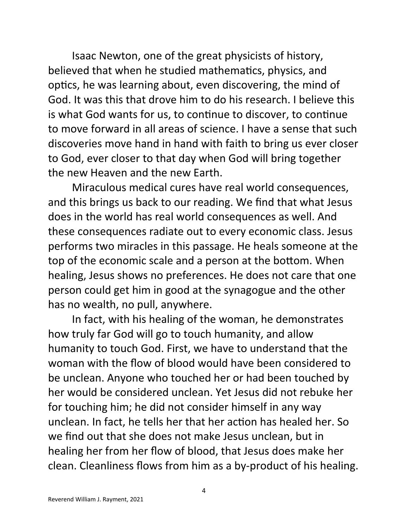Isaac Newton, one of the great physicists of history, believed that when he studied mathematics, physics, and optics, he was learning about, even discovering, the mind of God. It was this that drove him to do his research. I believe this is what God wants for us, to continue to discover, to continue to move forward in all areas of science. I have a sense that such discoveries move hand in hand with faith to bring us ever closer to God, ever closer to that day when God will bring together the new Heaven and the new Earth.

Miraculous medical cures have real world consequences, and this brings us back to our reading. We find that what Jesus does in the world has real world consequences as well. And these consequences radiate out to every economic class. Jesus performs two miracles in this passage. He heals someone at the top of the economic scale and a person at the bottom. When healing, Jesus shows no preferences. He does not care that one person could get him in good at the synagogue and the other has no wealth, no pull, anywhere.

In fact, with his healing of the woman, he demonstrates how truly far God will go to touch humanity, and allow humanity to touch God. First, we have to understand that the woman with the flow of blood would have been considered to be unclean. Anyone who touched her or had been touched by her would be considered unclean. Yet Jesus did not rebuke her for touching him; he did not consider himself in any way unclean. In fact, he tells her that her action has healed her. So we find out that she does not make Jesus unclean, but in healing her from her flow of blood, that Jesus does make her clean. Cleanliness flows from him as a by-product of his healing.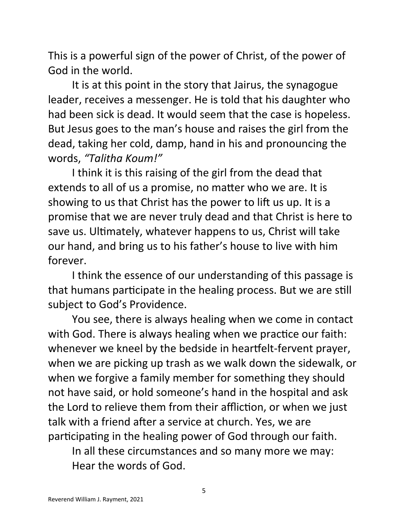This is a powerful sign of the power of Christ, of the power of God in the world.

It is at this point in the story that Jairus, the synagogue leader, receives a messenger. He is told that his daughter who had been sick is dead. It would seem that the case is hopeless. But Jesus goes to the man's house and raises the girl from the dead, taking her cold, damp, hand in his and pronouncing the words, *"Talitha Koum!"*

I think it is this raising of the girl from the dead that extends to all of us a promise, no matter who we are. It is showing to us that Christ has the power to lift us up. It is a promise that we are never truly dead and that Christ is here to save us. Ultimately, whatever happens to us, Christ will take our hand, and bring us to his father's house to live with him forever.

I think the essence of our understanding of this passage is that humans participate in the healing process. But we are still subject to God's Providence.

You see, there is always healing when we come in contact with God. There is always healing when we practice our faith: whenever we kneel by the bedside in heartfelt-fervent prayer, when we are picking up trash as we walk down the sidewalk, or when we forgive a family member for something they should not have said, or hold someone's hand in the hospital and ask the Lord to relieve them from their affliction, or when we just talk with a friend after a service at church. Yes, we are participating in the healing power of God through our faith.

In all these circumstances and so many more we may: Hear the words of God.